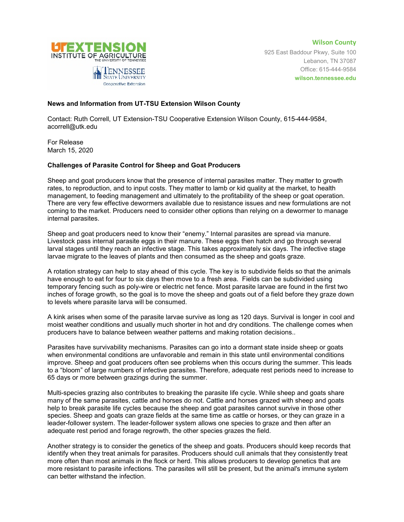

**Wilson County** 925 East Baddour Pkwy, Suite 100 Lebanon, TN 37087 Office: 615-444-9584 **wilson.tennessee.edu**

## **News and Information from UT-TSU Extension Wilson County**

Contact: Ruth Correll, UT Extension-TSU Cooperative Extension Wilson County, 615-444-9584, acorrell@utk.edu

For Release March 15, 2020

## **Challenges of Parasite Control for Sheep and Goat Producers**

Sheep and goat producers know that the presence of internal parasites matter. They matter to growth rates, to reproduction, and to input costs. They matter to lamb or kid quality at the market, to health management, to feeding management and ultimately to the profitability of the sheep or goat operation. There are very few effective dewormers available due to resistance issues and new formulations are not coming to the market. Producers need to consider other options than relying on a dewormer to manage internal parasites.

Sheep and goat producers need to know their "enemy." Internal parasites are spread via manure. Livestock pass internal parasite eggs in their manure. These eggs then hatch and go through several larval stages until they reach an infective stage. This takes approximately six days. The infective stage larvae migrate to the leaves of plants and then consumed as the sheep and goats graze.

A rotation strategy can help to stay ahead of this cycle. The key is to subdivide fields so that the animals have enough to eat for four to six days then move to a fresh area. Fields can be subdivided using temporary fencing such as poly-wire or electric net fence. Most parasite larvae are found in the first two inches of forage growth, so the goal is to move the sheep and goats out of a field before they graze down to levels where parasite larva will be consumed.

A kink arises when some of the parasite larvae survive as long as 120 days. Survival is longer in cool and moist weather conditions and usually much shorter in hot and dry conditions. The challenge comes when producers have to balance between weather patterns and making rotation decisions..

Parasites have survivability mechanisms. Parasites can go into a dormant state inside sheep or goats when environmental conditions are unfavorable and remain in this state until environmental conditions improve. Sheep and goat producers often see problems when this occurs during the summer. This leads to a "bloom" of large numbers of infective parasites. Therefore, adequate rest periods need to increase to 65 days or more between grazings during the summer.

Multi-species grazing also contributes to breaking the parasite life cycle. While sheep and goats share many of the same parasites, cattle and horses do not. Cattle and horses grazed with sheep and goats help to break parasite life cycles because the sheep and goat parasites cannot survive in those other species. Sheep and goats can graze fields at the same time as cattle or horses, or they can graze in a leader-follower system. The leader-follower system allows one species to graze and then after an adequate rest period and forage regrowth, the other species grazes the field.

Another strategy is to consider the genetics of the sheep and goats. Producers should keep records that identify when they treat animals for parasites. Producers should cull animals that they consistently treat more often than most animals in the flock or herd. This allows producers to develop genetics that are more resistant to parasite infections. The parasites will still be present, but the animal's immune system can better withstand the infection.